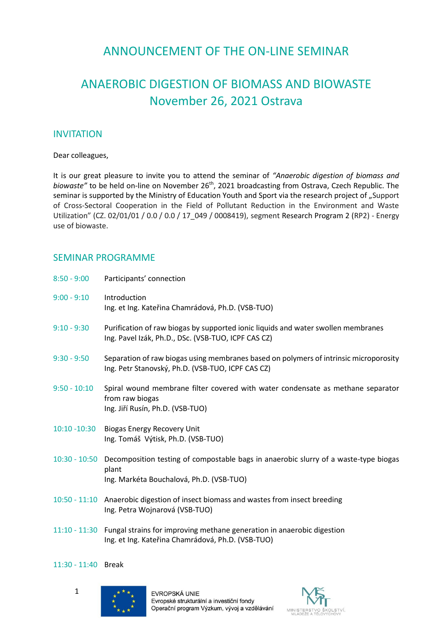## ANNOUNCEMENT OF THE ON-LINE SEMINAR

# ANAEROBIC DIGESTION OF BIOMASS AND BIOWASTE November 26, 2021 Ostrava

#### **INVITATION**

Dear colleagues,

It is our great pleasure to invite you to attend the seminar of *"Anaerobic digestion of biomass and*  biowaste" to be held on-line on November 26<sup>th</sup>, 2021 broadcasting from Ostrava, Czech Republic. The seminar is supported by the Ministry of Education Youth and Sport via the research project of "Support of Cross-Sectoral Cooperation in the Field of Pollutant Reduction in the Environment and Waste Utilization" (CZ. 02/01/01 / 0.0 / 0.0 / 17\_049 / 0008419), segment Research Program 2 (RP2) - Energy use of biowaste.

### SEMINAR PROGRAMME

| $8:50 - 9:00$   | Participants' connection                                                                                                                   |
|-----------------|--------------------------------------------------------------------------------------------------------------------------------------------|
| $9:00 - 9:10$   | Introduction<br>Ing. et Ing. Kateřina Chamrádová, Ph.D. (VSB-TUO)                                                                          |
| $9:10 - 9:30$   | Purification of raw biogas by supported ionic liquids and water swollen membranes<br>Ing. Pavel Izák, Ph.D., DSc. (VSB-TUO, ICPF CAS CZ)   |
| $9:30 - 9:50$   | Separation of raw biogas using membranes based on polymers of intrinsic microporosity<br>Ing. Petr Stanovský, Ph.D. (VSB-TUO, ICPF CAS CZ) |
| $9:50 - 10:10$  | Spiral wound membrane filter covered with water condensate as methane separator<br>from raw biogas<br>Ing. Jiří Rusín, Ph.D. (VSB-TUO)     |
| $10:10 - 10:30$ | <b>Biogas Energy Recovery Unit</b><br>Ing. Tomáš Výtisk, Ph.D. (VSB-TUO)                                                                   |
| $10:30 - 10:50$ | Decomposition testing of compostable bags in anaerobic slurry of a waste-type biogas<br>plant<br>Ing. Markéta Bouchalová, Ph.D. (VSB-TUO)  |
|                 | 10:50 - 11:10 Anaerobic digestion of insect biomass and wastes from insect breeding<br>Ing. Petra Wojnarová (VSB-TUO)                      |

11:10 - 11:30 Fungal strains for improving methane generation in anaerobic digestion Ing. et Ing. Kateřina Chamrádová, Ph.D. (VSB-TUO)

#### 11:30 - 11:40 Break